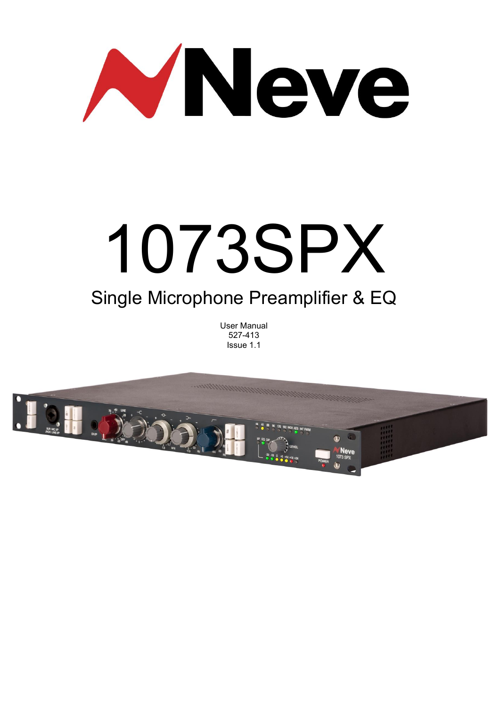

# 1073SPX Single Microphone Preamplifier & EQ

# User Manual 527-413 Issue 1.1

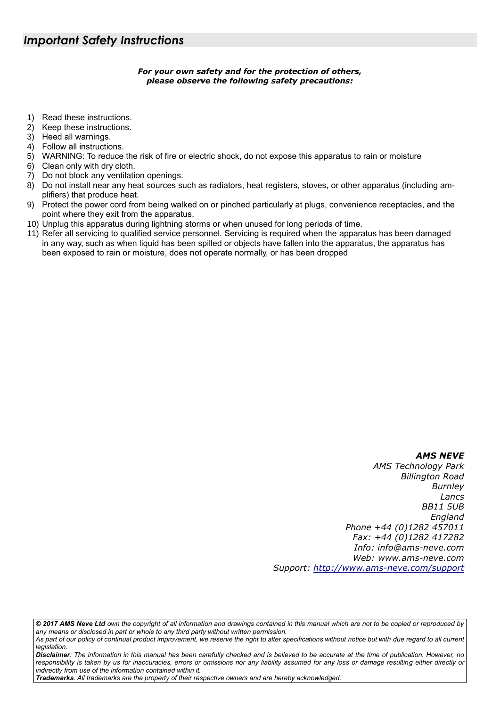# *For your own safety and for the protection of others, please observe the following safety precautions:*

- 1) Read these instructions.
- 2) Keep these instructions.
- 3) Heed all warnings.
- 4) Follow all instructions.
- 5) WARNING: To reduce the risk of fire or electric shock, do not expose this apparatus to rain or moisture
- 6) Clean only with dry cloth.
- 7) Do not block any ventilation openings.
- 8) Do not install near any heat sources such as radiators, heat registers, stoves, or other apparatus (including amplifiers) that produce heat.
- 9) Protect the power cord from being walked on or pinched particularly at plugs, convenience receptacles, and the point where they exit from the apparatus.
- 10) Unplug this apparatus during lightning storms or when unused for long periods of time.
- 11) Refer all servicing to qualified service personnel. Servicing is required when the apparatus has been damaged in any way, such as when liquid has been spilled or objects have fallen into the apparatus, the apparatus has been exposed to rain or moisture, does not operate normally, or has been dropped

# *AMS NEVE*

*AMS Technology Park Billington Road Burnley Lancs BB11 5UB England Phone +44 (0)1282 457011 Fax: +44 (0)1282 417282 Info: [info@ams-neve.com](mailto:info@ams-neve.com) Web: [www.ams-neve.com](http://www.ams-neve.com/) Support: [http://www.ams-neve.c](http://www.ams-neve.com/support)om/support*

*© 2017 AMS Neve Ltd own the copyright of all information and drawings contained in this manual which are not to be copied or reproduced by any means or disclosed in part or whole to any third party without written permission.*

*Disclaimer: The information in this manual has been carefully checked and is believed to be accurate at the time of publication. However, no*  responsibility is taken by us for inaccuracies, errors or omissions nor any liability assumed for any loss or damage resulting either directly or *indirectly from use of the information contained within it.*

*Trademarks: All trademarks are the property of their respective owners and are hereby acknowledged.*

*As part of our policy of continual product improvement, we reserve the right to alter specifications without notice but with due regard to all current legislation.*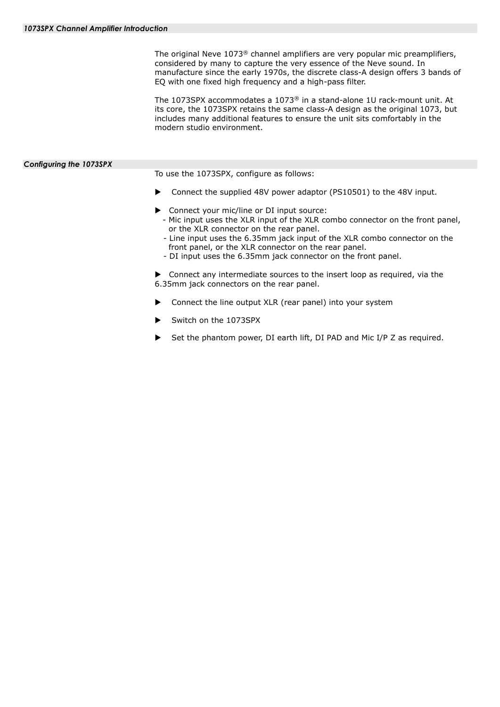The original Neve  $1073^{\circ}$  channel amplifiers are very popular mic preamplifiers, considered by many to capture the very essence of the Neve sound. In manufacture since the early 1970s, the discrete class-A design offers 3 bands of EQ with one fixed high frequency and a high-pass filter.

The 1073SPX accommodates a 1073® in a stand-alone 1U rack-mount unit. At its core, the 1073SPX retains the same class-A design as the original 1073, but includes many additional features to ensure the unit sits comfortably in the modern studio environment.

## <span id="page-3-1"></span><span id="page-3-0"></span>*Configuring the 1073SPX*

To use the 1073SPX, configure as follows:

- ▶ Connect the supplied 48V power adaptor (PS10501) to the 48V input.
- ▶ Connect your mic/line or DI input source:
- Mic input uses the XLR input of the XLR combo connector on the front panel, or the XLR connector on the rear panel.
- Line input uses the 6.35mm jack input of the XLR combo connector on the front panel, or the XLR connector on the rear panel.
- DI input uses the 6.35mm jack connector on the front panel.

 Connect any intermediate sources to the insert loop as required, via the 6.35mm jack connectors on the rear panel.

- Connect the line output XLR (rear panel) into your system
- Switch on the 1073SPX
- Set the phantom power, DI earth lift, DI PAD and Mic I/P Z as required.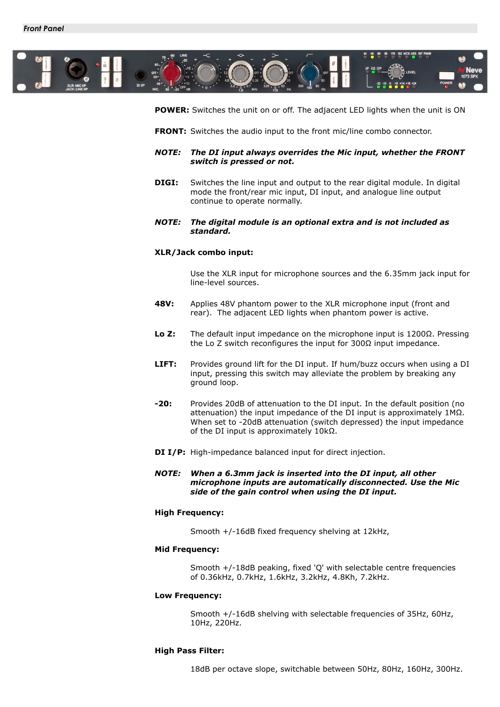<span id="page-4-0"></span>

**POWER:** Switches the unit on or off. The adjacent LED lights when the unit is ON

- **FRONT:** Switches the audio input to the front mic/line combo connector.
- *NOTE: The DI input always overrides the Mic input, whether the FRONT switch is pressed or not.*
- **DIGI:** Switches the line input and output to the rear digital module. In digital mode the front/rear mic input, DI input, and analogue line output continue to operate normally.
- *NOTE: The digital module is an optional extra and is not included as standard.*

## **XLR/Jack combo input:**

Use the XLR input for microphone sources and the 6.35mm jack input for line-level sources.

- **48V:** Applies 48V phantom power to the XLR microphone input (front and rear). The adjacent LED lights when phantom power is active.
- **Lo Z:** The default input impedance on the microphone input is 1200Ω. Pressing the Lo Z switch reconfigures the input for 300Ω input impedance.
- **LIFT:** Provides ground lift for the DI input. If hum/buzz occurs when using a DI input, pressing this switch may alleviate the problem by breaking any ground loop.
- **-20:** Provides 20dB of attenuation to the DI input. In the default position (no attenuation) the input impedance of the DI input is approximately 1MΩ. When set to -20dB attenuation (switch depressed) the input impedance of the DI input is approximately 10kΩ.
- **DI I/P:** High-impedance balanced input for direct injection.
- *NOTE: When a 6.3mm jack is inserted into the DI input, all other microphone inputs are automatically disconnected. Use the Mic side of the gain control when using the DI input.*

## **High Frequency:**

Smooth +/-16dB fixed frequency shelving at 12kHz,

### **Mid Frequency:**

Smooth +/-18dB peaking, fixed 'Q' with selectable centre frequencies of 0.36kHz, 0.7kHz, 1.6kHz, 3.2kHz, 4.8Kh, 7.2kHz.

#### **Low Frequency:**

Smooth +/-16dB shelving with selectable frequencies of 35Hz, 60Hz, 10Hz, 220Hz.

#### **High Pass Filter:**

18dB per octave slope, switchable between 50Hz, 80Hz, 160Hz, 300Hz.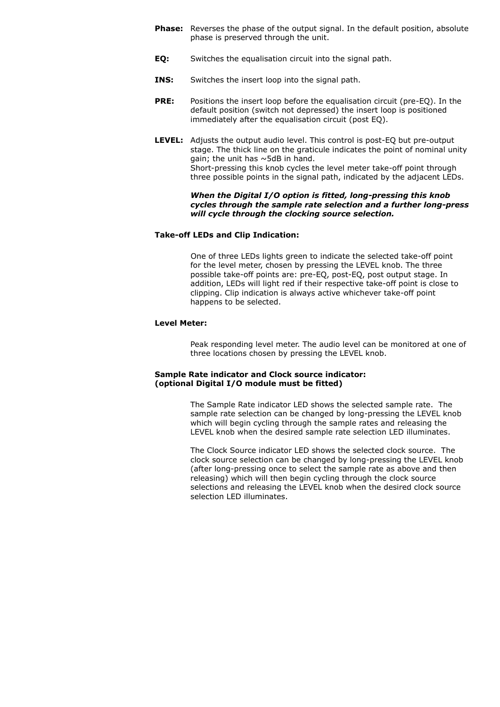- **Phase:** Reverses the phase of the output signal. In the default position, absolute phase is preserved through the unit.
- **EQ:** Switches the equalisation circuit into the signal path.
- **INS:** Switches the insert loop into the signal path.
- **PRE:** Positions the insert loop before the equalisation circuit (pre-EQ). In the default position (switch not depressed) the insert loop is positioned immediately after the equalisation circuit (post EQ).
- **LEVEL:** Adjusts the output audio level. This control is post-EQ but pre-output stage. The thick line on the graticule indicates the point of nominal unity gain; the unit has ~5dB in hand. Short-pressing this knob cycles the level meter take-off point through three possible points in the signal path, indicated by the adjacent LEDs.

## *When the Digital I/O option is fitted, long-pressing this knob cycles through the sample rate selection and a further long-press will cycle through the clocking source selection.*

## **Take-off LEDs and Clip Indication:**

One of three LEDs lights green to indicate the selected take-off point for the level meter, chosen by pressing the LEVEL knob. The three possible take-off points are: pre-EQ, post-EQ, post output stage. In addition, LEDs will light red if their respective take-off point is close to clipping. Clip indication is always active whichever take-off point happens to be selected.

## **Level Meter:**

Peak responding level meter. The audio level can be monitored at one of three locations chosen by pressing the LEVEL knob.

# **Sample Rate indicator and Clock source indicator: (optional Digital I/O module must be fitted)**

The Sample Rate indicator LED shows the selected sample rate. The sample rate selection can be changed by long-pressing the LEVEL knob which will begin cycling through the sample rates and releasing the LEVEL knob when the desired sample rate selection LED illuminates.

The Clock Source indicator LED shows the selected clock source. The clock source selection can be changed by long-pressing the LEVEL knob (after long-pressing once to select the sample rate as above and then releasing) which will then begin cycling through the clock source selections and releasing the LEVEL knob when the desired clock source selection LED illuminates.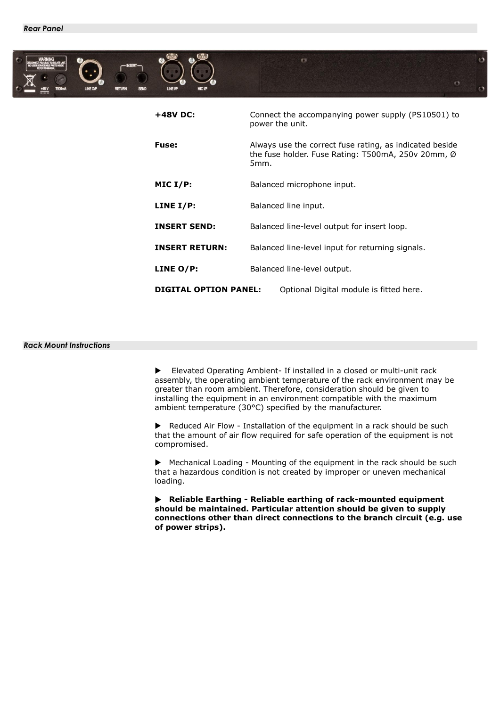<span id="page-6-0"></span>

# <span id="page-6-1"></span>*Rack Mount Instructions*

 Elevated Operating Ambient- If installed in a closed or multi-unit rack assembly, the operating ambient temperature of the rack environment may be greater than room ambient. Therefore, consideration should be given to installing the equipment in an environment compatible with the maximum ambient temperature (30°C) specified by the manufacturer.

▶ Reduced Air Flow - Installation of the equipment in a rack should be such that the amount of air flow required for safe operation of the equipment is not compromised.

 Mechanical Loading - Mounting of the equipment in the rack should be such that a hazardous condition is not created by improper or uneven mechanical loading.

**Reliable Earthing - Reliable earthing of rack-mounted equipment should be maintained. Particular attention should be given to supply connections other than direct connections to the branch circuit (e.g. use of power strips).**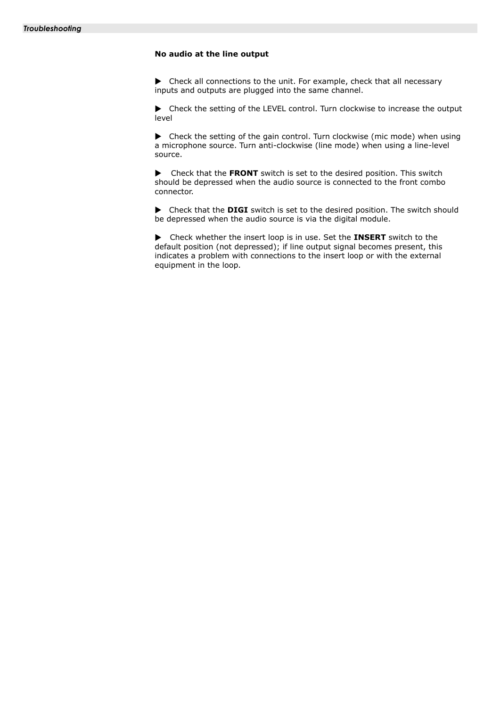# <span id="page-7-0"></span>**No audio at the line output**

Check all connections to the unit. For example, check that all necessary inputs and outputs are plugged into the same channel.

Check the setting of the LEVEL control. Turn clockwise to increase the output level

 $\blacktriangleright$  Check the setting of the gain control. Turn clockwise (mic mode) when using a microphone source. Turn anti-clockwise (line mode) when using a line-level source.

 Check that the **FRONT** switch is set to the desired position. This switch should be depressed when the audio source is connected to the front combo connector.

Check that the **DIGI** switch is set to the desired position. The switch should be depressed when the audio source is via the digital module.

 Check whether the insert loop is in use. Set the **INSERT** switch to the default position (not depressed); if line output signal becomes present, this indicates a problem with connections to the insert loop or with the external equipment in the loop.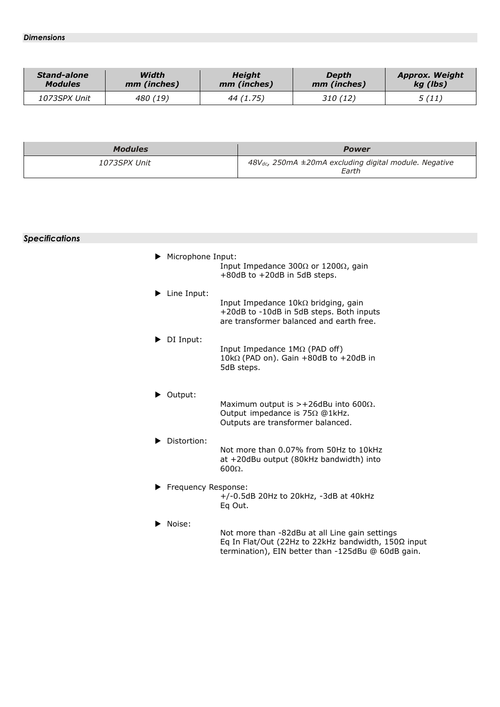<span id="page-8-0"></span>

| <b>Stand-alone</b> | Width       | <b>Height</b> | Depth       | <b>Approx. Weight</b> |
|--------------------|-------------|---------------|-------------|-----------------------|
| <b>Modules</b>     | mm (inches) | mm (inches)   | mm (inches) | kg (lbs)              |
| 1073SPX Unit       | 480 (19)    | 44 (1.75)     | 310(12)     | 5(11)                 |

| <b>Modules</b>      | <b>Power</b>                                                              |
|---------------------|---------------------------------------------------------------------------|
| <i>1073SPX Unit</i> | $48V_{dc}$ , 250mA $\pm$ 20mA excluding digital module. Negative<br>Earth |

| <b>Specifications</b> |                            |                                                                                                                                                             |
|-----------------------|----------------------------|-------------------------------------------------------------------------------------------------------------------------------------------------------------|
|                       | Microphone Input:          | Input Impedance 300 $\Omega$ or 1200 $\Omega$ , gain<br>$+80$ dB to $+20$ dB in 5dB steps.                                                                  |
|                       | Line Input:                | Input Impedance $10k\Omega$ bridging, gain<br>+20dB to -10dB in 5dB steps. Both inputs<br>are transformer balanced and earth free.                          |
|                       | $\triangleright$ DI Input: | Input Impedance 1MΩ (PAD off)<br>10k $\Omega$ (PAD on). Gain +80dB to +20dB in<br>5dB steps.                                                                |
|                       | Output:                    | Maximum output is >+26dBu into 600 $\Omega$ .<br>Output impedance is 75Ω @1kHz.<br>Outputs are transformer balanced.                                        |
|                       | Distortion:                | Not more than 0.07% from 50Hz to 10kHz<br>at +20dBu output (80kHz bandwidth) into<br>$600\Omega$ .                                                          |
|                       | Frequency Response:        | $+/-0.5dB$ 20Hz to 20kHz, $-3dB$ at 40kHz<br>Eq Out.                                                                                                        |
|                       | Noise:                     | Not more than -82dBu at all Line gain settings<br>Eq In Flat/Out (22Hz to 22kHz bandwidth, 150Ω input<br>termination), EIN better than -125dBu @ 60dB gain. |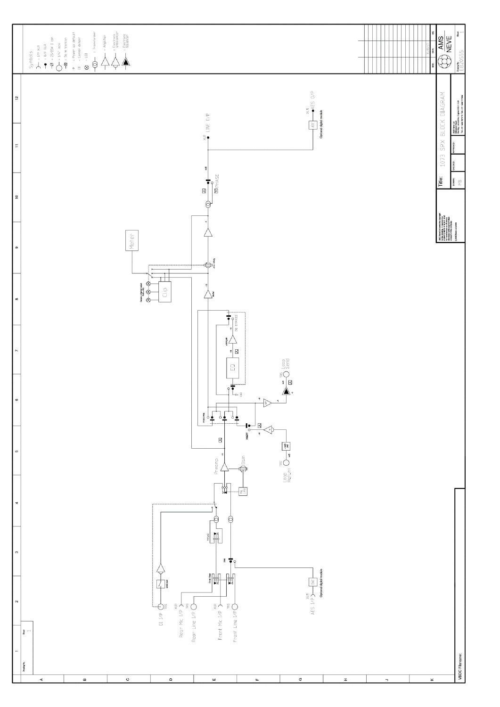